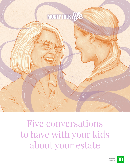

**MONERATION** 

Five conversations to have with your kids about your estate



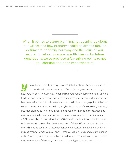When it comes to estate planning, not opening up about our wishes and how property should be divided may be detrimental to family harmony and the value of your estate. To help ensure your wealth lives on for future generations, we've provided a few talking points to get you chatting about the important stuff.

*y*ou've heard that old saying: you can't take it with you. So you may want to consider what your assets can offer to future generations. You might not know for sure, for example, if your kids want to run the family company, inherit the family cottage, or have space for the extensive hockey card collection, so the best way to find out is to ask. No one wants to talk about the…gulp…inevitable, but some conversations need to be had, maybe for the sake of maintaining harmony between siblings, to help keep inheritances out of the hands of the taxman and creditors, and to help ensure you live out your senior years in the way you wish. A 2018 survey by TD shows that four in 10 Canadian millennials expect to receive an inheritance or have already received one. Of these, 60 per cent anticipate they will receive cash, while just over half see themselves inheriting a property or making money from the sale of one.1 Domenic Tagliola, a tax and estate planner with TD Wealth, suggests scheduling the following conversations — sooner rather than later — even if the thought causes you to wriggle in your chair.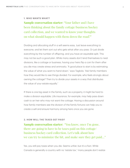#### **1. WHO WANTS WHAT?**

**Sample conversation starter:** "Your father and I have been thinking about the family cottage/business/hockey card collection, and we wanted to know your thoughts on what should happen with them down the road?"

Dividing and allocating stuff in a will seems easy. Just leave everything to everyone, and let them sort out who gets what after you pass. Or just divide everything by the number of offspring, and you have an equitable split. This may not be such a good plan. While many assets don't lend themselves to neat divisions, like a cottage or business, having your heirs flip a coin for them after you die may create stress and animosity. "A good place to start is by estimating the value of what you want to hand down," says Tagliola. "Ask family members how they would like to see things divided. For example, who feels strongly about owning the cottage? Then try to divide your assets in a way that distributes the value of your estate equally."

If there is one big asset in the family, such as a property, it might be hard to make a division equitable. Life insurance, for example, may help pass down cash to an heir who may not want the cottage. Having a discussion around how family members see the division of the family fortune can help you to create a will and ensure harmony among heirs once you are gone.

### **2. HOW WILL THE TAXES GET PAID?**

**Sample conversation starter:** "You know, once I'm gone, there are going to have to be taxes paid on this cottage/ business/hockey card collection. Let's talk about how we can try to minimize the hit, and make sure they get paid…"

Yes, you still pay taxes when you die. Seems unfair, but it's a fact. While Canada is generally a country with no "estate tax," many people don't realize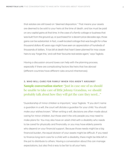that estates are still taxed on "deemed disposition." That means your assets are deemed to be sold to your heirs at the time of death, and tax must be paid on any capital gains at that time. In the case of a family cottage or business that was built from the ground up, or purchased for a decent price decades ago, those gains can be substantial. In fact, a well-located cottage that was bought for a few thousand dollars 40 years ago might have seen an appreciation of hundreds of thousands of dollars. "A tax bill at death that hasn't been planned for may cause heirs to say 'forget this,' and call their favourite real estate agent," says Tagliola.

Having a discussion around taxes can help with the planning process, especially if there are complicating factors like heirs that live abroad (different countries have different rules around inheritances).

# **3. WHO WILL CARE FOR FAMILY WHEN YOU AREN'T AROUND? Sample conversation starter:** "Just in case one of us should be unable to take care of little Johnny/Grandma, we should probably talk about how they will get the care they need…"

"Guardianship of minor children is important," says Tagliola. "If you don't name a guardian in a will, the court will dictate a guardian for your child. You should make your wishes known." When writing a will, decisions are often made about caring for minor children, but those aren't the only people you may need to make plans for. You may also have an adult child with a disability who needs to be cared for physically and financially, or you may have elderly parents who depend on your financial support. Because those needs might be a big financial burden, the equal division of your assets might be difficult. If you need to finance long-term care for a child with a disability, there might be little left in the pot to distribute to others. Having a conversation about this can manage expectations, but also find a way to be fair to all your heirs.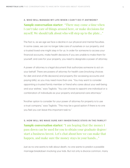#### **4. WHO WILL MANAGE MY LIFE WHEN I CAN'T DO IT ANYMORE?**

# **Sample conversation starter:** "There may come a time when I can't take care of things around here, or make decisions for myself. We should talk about who will step up to the plate…"

The fact is, as we age we face a decline in our physical and mental faculties. In some cases, we can no longer take care of ourselves or our property, and a trusted loved-one might step in for us. In order for someone to access your financial accounts, make health decisions if you are unable to make them for yourself, and care for your property, you need to designate a power of attorney.

A power of attorney is a legal document that authorizes someone to act on your behalf. There are powers of attorney for health care (involving choices for diet and end-of-life decisions) and property (for accessing accounts and paying bills), so you may need more than one. "You may want to consider appointing a trusted family member or friend who cares about your well-being and your wishes," says Tagliola. "You can choose to appoint one individual or a combination of individuals as your property and personal care attorneys."

"Another option to consider for your power of attorney for property is to use a trust company," says Tagliola. "This may be a good option if there is no one you feel you can leave this important task to."

**5. HOW WILL WE MAKE SURE ANY INHERITANCE STAYS IN THE FAMILY? Sample conversation starter:** "I am hoping that the money I pass down can be used for you to obtain your graduate degree/ start a business/invest. Let's chat about how we can make that happen, and make sure the money stays in your hands…"

Just as no one wants to talk about death, no one wants to predict a possible marriage breakdown involving your kids. But not only is divorce common, many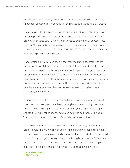people don't see it coming: The Vanier Institute of the Family estimates that 41 per cent of marriages in Canada will end by the 30th wedding anniversary.2

If you are planning to pass down wealth, understand that an inheritance can become part of any divorce claim, unless you have taken the proper steps to protect it from creditors. "Creditors don't need to be a mean ex-spouse," says Tagliola, "it can also be a business partner or anyone who claims to be owed money." You may also wish to protect any inheritance from flowing to someone else, like a spouse, if your heir dies.

Under Ontario law, a will can specify that the inheritance, together with the income and growth from it, will not be a part of the equalization in the case of divorce. However, it really depends on what happens to the gift. Rules can become murky if the inheritance is used to pay off a matrimonial home, or is spent over the years. For that reason it's often best to keep that money separate from other accounts and investments. There are many ways to protect the inheritance, so speaking with an estate law professional can help keep the money in the family.

Ultimately, you may find it easier to have these conversations if you schedule them in advance and set the subject, or maybe you want to play them down and just casually bring them up. Either way works, says Tagliola, as long as you start talking. "Stories or anecdotes can be great ice-breakers," he says. "Use people you know, or things you've read as a jumping-off point."

Tagliola also states that you can also consider introducing your children to the professionals who are working on your estate plan, as they can help to begin the discussion in a professional and unemotional way. Decide if you want to talk to your family as a group, or each person individually, and decide if this is one big talk, or a series of discussions. "It won't be easy. It never is," says Tagliola, "but it can be more difficult for everyone if you don't sit down and talk."

**DENISE O'CONNELL** MONEYTALK LIFE